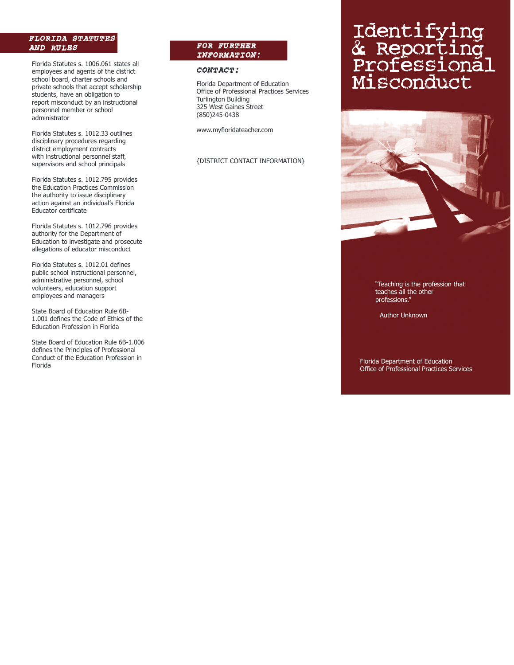# *FLORIDA STATUTES AND RULES*

Florida Statutes s. 1006.061 states all employees and agents of the district school board, charter schools and private schools that accept scholarship students, have an obligation to report misconduct by an instructional personnel member or school administrator

Florida Statutes s. 1012.33 outlines disciplinary procedures regarding district employment contracts with instructional personnel staff, supervisors and school principals

Florida Statutes s. 1012.795 provides the Education Practices Commission the authority to issue disciplinary action against an individual's Florida Educator certificate

Florida Statutes s. 1012.796 provides authority for the Department of Education to investigate and prosecute allegations of educator misconduct

Florida Statutes s. 1012.01 defines public school instructional personnel, administrative personnel, school volunteers, education support employees and managers

State Board of Education Rule 6B-1.001 defines the Code of Ethics of the Education Profession in Florida

State Board of Education Rule 6B-1.006 defines the Principles of Professional Conduct of the Education Profession in Florida

## *FOR FURTHER INFORMATION:*

## *CONTACT:*

Florida Department of Education Office of Professional Practices Services Turlington Building 325 West Gaines Street (850)245-0438

www.myfloridateacher.com

#### {DISTRICT CONTACT INFORMATION}

# Identifying & Reporting Professional Misconduct



"Teaching is the profession that teaches all the other professions."

Author Unknown

Florida Department of Education Office of Professional Practices Services